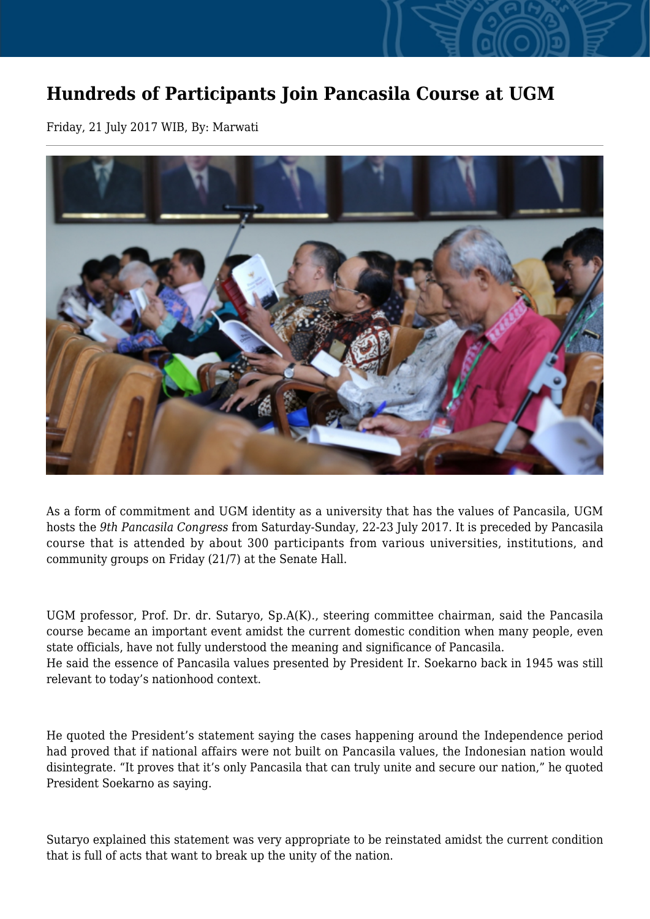## **Hundreds of Participants Join Pancasila Course at UGM**

Friday, 21 July 2017 WIB, By: Marwati



As a form of commitment and UGM identity as a university that has the values of Pancasila, UGM hosts the *9th Pancasila Congress* from Saturday-Sunday, 22-23 July 2017. It is preceded by Pancasila course that is attended by about 300 participants from various universities, institutions, and community groups on Friday (21/7) at the Senate Hall.

UGM professor, Prof. Dr. dr. Sutaryo, Sp.A(K)., steering committee chairman, said the Pancasila course became an important event amidst the current domestic condition when many people, even state officials, have not fully understood the meaning and significance of Pancasila. He said the essence of Pancasila values presented by President Ir. Soekarno back in 1945 was still relevant to today's nationhood context.

He quoted the President's statement saying the cases happening around the Independence period had proved that if national affairs were not built on Pancasila values, the Indonesian nation would disintegrate. "It proves that it's only Pancasila that can truly unite and secure our nation," he quoted President Soekarno as saying.

Sutaryo explained this statement was very appropriate to be reinstated amidst the current condition that is full of acts that want to break up the unity of the nation.